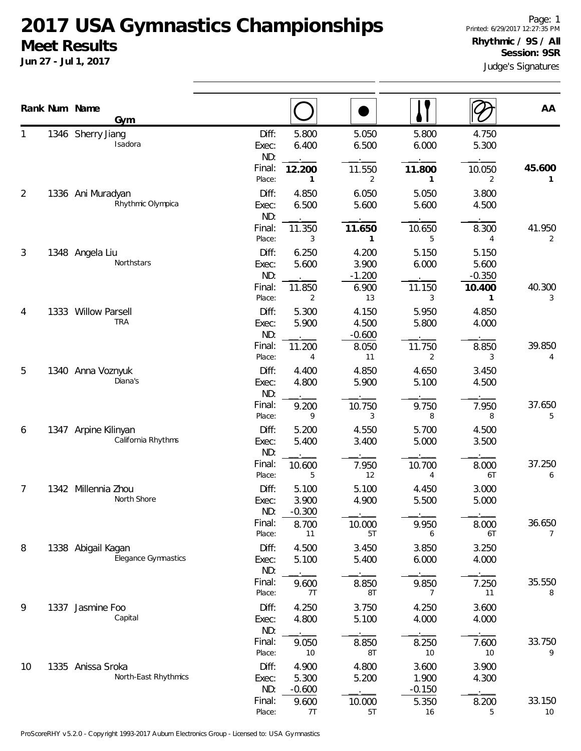|    | Rank Num Name<br>Gym                       |                                 |                            |                            |                            |                             | AA                       |
|----|--------------------------------------------|---------------------------------|----------------------------|----------------------------|----------------------------|-----------------------------|--------------------------|
|    | 1346 Sherry Jiang<br>Isadora               | Diff:<br>Exec:<br>ND:<br>Final: | 5.800<br>6.400<br>12.200   | 5.050<br>6.500<br>11.550   | 5.800<br>6.000<br>11.800   | 4.750<br>5.300<br>10.050    | 45.600                   |
| 2  | 1336 Ani Muradyan                          | Place:<br>Diff:                 | 1<br>4.850                 | 2<br>6.050                 | 1<br>5.050                 | 2<br>3.800                  | 1                        |
|    | Rhythmic Olympica                          | Exec:<br>ND:<br>Final:          | 6.500<br>11.350            | 5.600<br>11.650            | 5.600<br>10.650            | 4.500<br>8.300              | 41.950                   |
| 3  | 1348 Angela Liu                            | Place:<br>Diff:                 | 3<br>6.250                 | 1<br>4.200                 | 5<br>5.150                 | 4<br>5.150                  | 2                        |
|    | Northstars                                 | Exec:<br>ND:<br>Final:          | 5.600<br>11.850            | 3.900<br>$-1.200$<br>6.900 | 6.000<br>11.150            | 5.600<br>$-0.350$<br>10.400 | 40.300                   |
| 4  | 1333 Willow Parsell                        | Place:<br>Diff:                 | 2<br>5.300                 | 13<br>4.150                | 3<br>5.950                 | 1<br>4.850                  | 3                        |
|    | <b>TRA</b>                                 | Exec:<br>ND:<br>Final:          | 5.900<br>11.200            | 4.500<br>$-0.600$<br>8.050 | 5.800<br>11.750            | 4.000<br>8.850              | 39.850                   |
| 5  | 1340 Anna Voznyuk                          | Place:<br>Diff:                 | 4<br>4.400                 | 11<br>4.850                | 2<br>4.650                 | 3<br>3.450                  | 4                        |
|    | Diana's                                    | Exec:<br>ND:<br>Final:          | 4.800<br>9.200             | 5.900<br>10.750            | 5.100<br>9.750             | 4.500<br>7.950              | 37.650                   |
| 6  | 1347 Arpine Kilinyan<br>California Rhythms | Place:<br>Diff:                 | 9<br>5.200                 | 3<br>4.550                 | 8<br>5.700                 | 8<br>4.500                  | 5                        |
|    |                                            | Exec:<br>ND:<br>Final:          | 5.400<br>10.600            | 3.400<br>7.950             | 5.000<br>10.700            | 3.500<br>8.000              | 37.250                   |
| 7  | 1342 Millennia Zhou<br>North Shore         | Place:<br>Diff:<br>Exec:        | 5<br>5.100<br>3.900        | 12<br>5.100<br>4.900       | 4<br>4.450<br>5.500        | 6T<br>3.000<br>5.000        | 6                        |
|    |                                            | ND:<br>Final:<br>Place:         | $-0.300$<br>8.700<br>11    | 10.000<br>5T               | 9.950<br>6                 | 8.000<br>6T                 | 36.650<br>$\overline{7}$ |
| 8  | 1338 Abigail Kagan<br>Elegance Gymnastics  | Diff:<br>Exec:<br>ND:           | 4.500<br>5.100             | 3.450<br>5.400             | 3.850<br>6.000             | 3.250<br>4.000              |                          |
|    |                                            | Final:<br>Place:                | 9.600<br>7T                | 8.850<br>8T                | 9.850<br>7                 | 7.250<br>11                 | 35.550<br>8              |
| 9  | 1337 Jasmine Foo<br>Capital                | Diff:<br>Exec:<br>ND:           | 4.250<br>4.800             | 3.750<br>5.100             | 4.250<br>4.000             | 3.600<br>4.000              |                          |
|    |                                            | Final:<br>Place:                | 9.050<br>10                | 8.850<br>8T                | 8.250<br>10                | 7.600<br>10                 | 33.750<br>9              |
| 10 | 1335 Anissa Sroka<br>North-East Rhythmics  | Diff:<br>Exec:<br>ND:           | 4.900<br>5.300<br>$-0.600$ | 4.800<br>5.200             | 3.600<br>1.900<br>$-0.150$ | 3.900<br>4.300              |                          |
|    |                                            | Final:<br>Place:                | 9.600<br>7T                | 10.000<br>5T               | 5.350<br>16                | 8.200<br>5                  | 33.150<br>10             |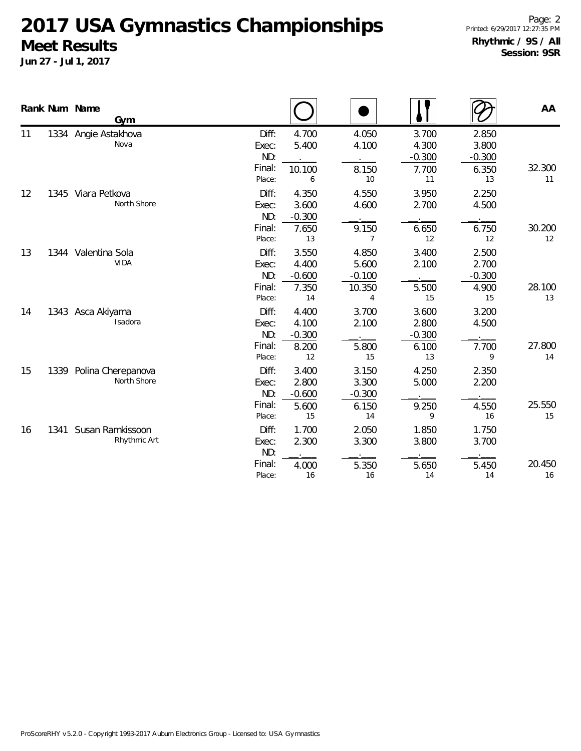|    |      | Rank Num Name<br>Gym                  |                                           |                                           |                                           |                                           |                                           | AA           |
|----|------|---------------------------------------|-------------------------------------------|-------------------------------------------|-------------------------------------------|-------------------------------------------|-------------------------------------------|--------------|
| 11 |      | 1334 Angie Astakhova<br>Nova          | Diff:<br>Exec:<br>ND:<br>Final:<br>Place: | 4.700<br>5.400<br>10.100<br>6             | 4.050<br>4.100<br>8.150<br>10             | 3.700<br>4.300<br>$-0.300$<br>7.700<br>11 | 2.850<br>3.800<br>$-0.300$<br>6.350<br>13 | 32.300<br>11 |
| 12 |      | 1345 Viara Petkova<br>North Shore     | Diff:<br>Exec:<br>ND:<br>Final:<br>Place: | 4.350<br>3.600<br>$-0.300$<br>7.650<br>13 | 4.550<br>4.600<br>9.150<br>7              | 3.950<br>2.700<br>6.650<br>12             | 2.250<br>4.500<br>6.750<br>12             | 30.200<br>12 |
| 13 |      | 1344 Valentina Sola<br><b>VIDA</b>    | Diff:<br>Exec:<br>ND:<br>Final:<br>Place: | 3.550<br>4.400<br>$-0.600$<br>7.350<br>14 | 4.850<br>5.600<br>$-0.100$<br>10.350<br>4 | 3.400<br>2.100<br>5.500<br>15             | 2.500<br>2.700<br>$-0.300$<br>4.900<br>15 | 28.100<br>13 |
| 14 |      | 1343 Asca Akiyama<br>Isadora          | Diff:<br>Exec:<br>ND:<br>Final:<br>Place: | 4.400<br>4.100<br>$-0.300$<br>8.200<br>12 | 3.700<br>2.100<br>5.800<br>15             | 3.600<br>2.800<br>$-0.300$<br>6.100<br>13 | 3.200<br>4.500<br>7.700<br>9              | 27.800<br>14 |
| 15 | 1339 | Polina Cherepanova<br>North Shore     | Diff:<br>Exec:<br>ND:<br>Final:<br>Place: | 3.400<br>2.800<br>$-0.600$<br>5.600<br>15 | 3.150<br>3.300<br>$-0.300$<br>6.150<br>14 | 4.250<br>5.000<br>9.250<br>9              | 2.350<br>2.200<br>4.550<br>16             | 25.550<br>15 |
| 16 |      | 1341 Susan Ramkissoon<br>Rhythmic Art | Diff:<br>Exec:<br>ND:<br>Final:<br>Place: | 1.700<br>2.300<br>4.000<br>16             | 2.050<br>3.300<br>5.350<br>16             | 1.850<br>3.800<br>5.650<br>14             | 1.750<br>3.700<br>5.450<br>14             | 20.450<br>16 |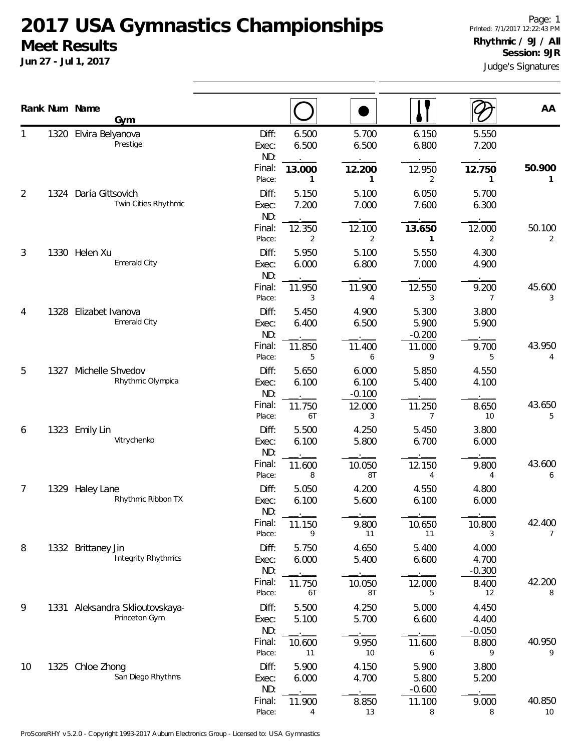|    |      | Rank Num Name<br><b>Gym</b>                      |                       |                |                            |                            |                            | AA                       |
|----|------|--------------------------------------------------|-----------------------|----------------|----------------------------|----------------------------|----------------------------|--------------------------|
| 1  |      | 1320 Elvira Belyanova<br>Prestige                | Diff:<br>Exec:<br>ND: | 6.500<br>6.500 | 5.700<br>6.500             | 6.150<br>6.800             | 5.550<br>7.200             |                          |
|    |      |                                                  | Final:<br>Place:      | 13.000<br>1    | 12.200<br>1                | 12.950<br>2                | 12.750<br>$\mathbf{1}$     | 50.900<br>1              |
| 2  | 1324 | Daria Gittsovich<br>Twin Cities Rhythmic         | Diff:<br>Exec:<br>ND: | 5.150<br>7.200 | 5.100<br>7.000             | 6.050<br>7.600             | 5.700<br>6.300             |                          |
|    |      |                                                  | Final:<br>Place:      | 12.350<br>2    | 12.100<br>2                | 13.650<br>1                | 12.000<br>2                | 50.100<br>$\overline{2}$ |
| 3  |      | 1330 Helen Xu<br>Emerald City                    | Diff:<br>Exec:<br>ND: | 5.950<br>6.000 | 5.100<br>6.800             | 5.550<br>7.000             | 4.300<br>4.900             |                          |
|    |      |                                                  | Final:<br>Place:      | 11.950<br>3    | 11.900<br>$\overline{4}$   | 12.550<br>3                | 9.200<br>7                 | 45.600<br>3              |
| 4  | 1328 | Elizabet Ivanova<br>Emerald City                 | Diff:<br>Exec:<br>ND: | 5.450<br>6.400 | 4.900<br>6.500             | 5.300<br>5.900<br>$-0.200$ | 3.800<br>5.900             |                          |
|    |      |                                                  | Final:<br>Place:      | 11.850<br>5    | 11.400<br>6                | 11.000<br>9                | 9.700<br>5                 | 43.950<br>4              |
| 5  | 1327 | Michelle Shvedov<br>Rhythmic Olympica            | Diff:<br>Exec:<br>ND: | 5.650<br>6.100 | 6.000<br>6.100<br>$-0.100$ | 5.850<br>5.400             | 4.550<br>4.100             |                          |
|    |      |                                                  | Final:<br>Place:      | 11.750<br>6T   | 12.000<br>3                | 11.250<br>7                | 8.650<br>10                | 43.650<br>5              |
| 6  | 1323 | Emily Lin<br>Vitrychenko                         | Diff:<br>Exec:<br>ND: | 5.500<br>6.100 | 4.250<br>5.800             | 5.450<br>6.700             | 3.800<br>6.000             |                          |
|    |      |                                                  | Final:<br>Place:      | 11.600<br>8    | 10.050<br>8T               | 12.150<br>4                | 9.800<br>4                 | 43.600<br>6              |
| 7  | 1329 | <b>Haley Lane</b><br>Rhythmic Ribbon TX          | Diff:<br>Exec:<br>ND: | 5.050<br>6.100 | 4.200<br>5.600             | 4.550<br>6.100             | 4.800<br>6.000             |                          |
|    |      |                                                  | Final:<br>Place:      | 11.150<br>9    | 9.800<br>11                | 10.650<br>11               | 10.800<br>3                | 42.400<br>$\overline{7}$ |
| 8  |      | 1332 Brittaney Jin<br><b>Integrity Rhythmics</b> | Diff:<br>Exec:<br>ND: | 5.750<br>6.000 | 4.650<br>5.400             | 5.400<br>6.600             | 4.000<br>4.700<br>$-0.300$ |                          |
|    |      |                                                  | Final:<br>Place:      | 11.750<br>6T   | 10.050<br>8T               | 12.000<br>5                | 8.400<br>12                | 42.200<br>8              |
| 9  |      | 1331 Aleksandra Sklioutovskaya-<br>Princeton Gym | Diff:<br>Exec:<br>ND: | 5.500<br>5.100 | 4.250<br>5.700             | 5.000<br>6.600             | 4.450<br>4.400<br>$-0.050$ |                          |
|    |      |                                                  | Final:<br>Place:      | 10.600<br>11   | 9.950<br>10                | 11.600<br>6                | 8.800<br>9                 | 40.950<br>9              |
| 10 |      | 1325 Chloe Zhong<br>San Diego Rhythms            | Diff:<br>Exec:<br>ND: | 5.900<br>6.000 | 4.150<br>4.700             | 5.900<br>5.800<br>$-0.600$ | 3.800<br>5.200             |                          |
|    |      |                                                  | Final:<br>Place:      | 11.900<br>4    | 8.850<br>13                | 11.100<br>8                | 9.000<br>8                 | 40.850<br>10             |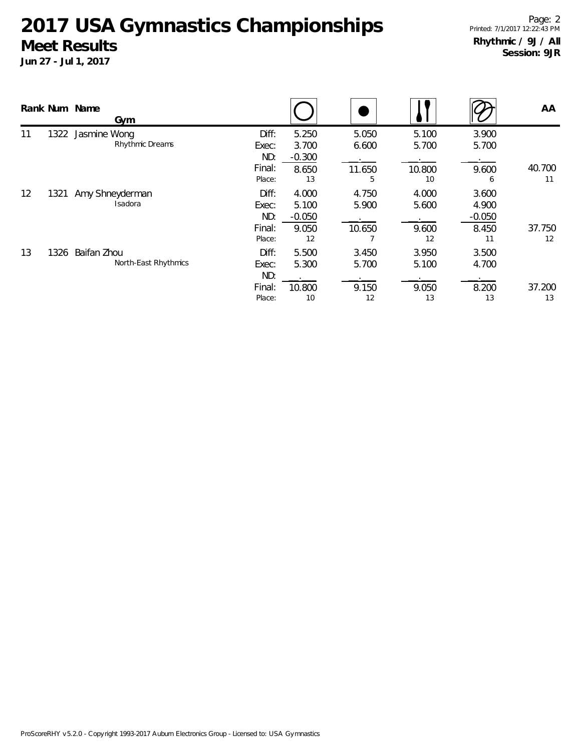|    |      | Rank Num Name<br>Gym                |                                           |                                                 |                               |                                |                                                | AA                 |
|----|------|-------------------------------------|-------------------------------------------|-------------------------------------------------|-------------------------------|--------------------------------|------------------------------------------------|--------------------|
| 11 | 1322 | Jasmine Wong<br>Rhythmic Dreams     | Diff:<br>Exec:<br>ND:<br>Final:<br>Place: | 5.250<br>3.700<br>$-0.300$<br>8.650             | 5.050<br>6.600<br>11.650      | 5.100<br>5.700<br>10.800<br>10 | 3.900<br>5.700<br>9.600                        | 40.700             |
| 12 | 1321 | Amy Shneyderman<br>Isadora          | Diff:<br>Exec:<br>ND:<br>Final:<br>Place: | 13<br>4.000<br>5.100<br>$-0.050$<br>9.050<br>12 | 5<br>4.750<br>5.900<br>10.650 | 4.000<br>5.600<br>9.600<br>12  | 6<br>3.600<br>4.900<br>$-0.050$<br>8.450<br>11 | 11<br>37.750<br>12 |
| 13 | 1326 | Baifan Zhou<br>North-East Rhythmics | Diff:<br>Exec:<br>ND:<br>Final:<br>Place: | 5.500<br>5.300<br>10.800<br>10                  | 3.450<br>5.700<br>9.150<br>12 | 3.950<br>5.100<br>9.050<br>13  | 3.500<br>4.700<br>8.200<br>13                  | 37.200<br>13       |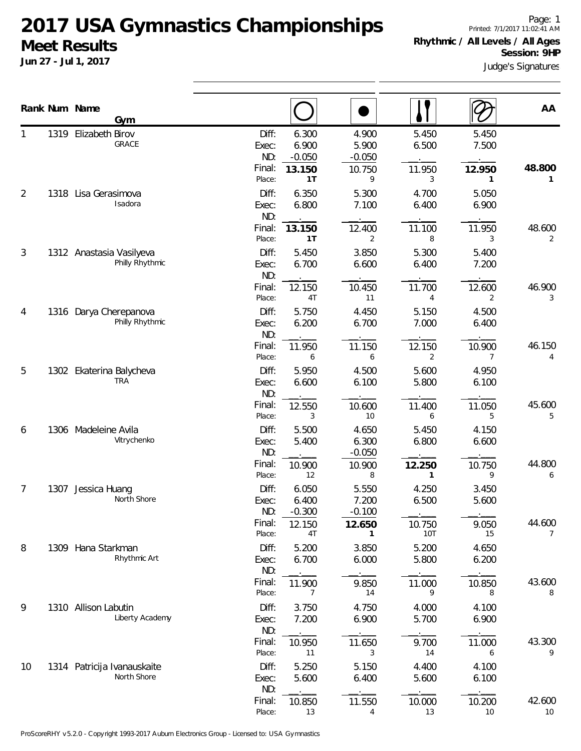**Jun 27 - Jul 1, 2017**

Page: 1 Printed: 7/1/2017 11:02:41 AM **Rhythmic / All Levels / All Ages Session: 9HP**

Judge's Signatures

|                |      | Rank Num Name<br>Gym                        |                                                     |                                            |                                            |                                            |                                         | AA                       |
|----------------|------|---------------------------------------------|-----------------------------------------------------|--------------------------------------------|--------------------------------------------|--------------------------------------------|-----------------------------------------|--------------------------|
| 1              |      | 1319 Elizabeth Birov<br>GRACE               | Diff:<br>Exec:<br>ND:<br>Final:<br>Place:           | 6.300<br>6.900<br>$-0.050$<br>13.150<br>1T | 4.900<br>5.900<br>$-0.050$<br>10.750<br>9  | 5.450<br>6.500<br>11.950<br>3              | 5.450<br>7.500<br>12.950<br>1           | 48.800<br>1              |
| $\overline{2}$ | 1318 | Lisa Gerasimova<br>Isadora                  | Diff:<br>Exec:<br>ND:<br>Final:                     | 6.350<br>6.800<br>13.150                   | 5.300<br>7.100<br>12.400                   | 4.700<br>6.400<br>11.100                   | 5.050<br>6.900<br>11.950                | 48.600                   |
| 3              |      | 1312 Anastasia Vasilyeva<br>Philly Rhythmic | Place:<br>Diff:<br>Exec:<br>ND:                     | 1T<br>5.450<br>6.700                       | $\overline{2}$<br>3.850<br>6.600           | 8<br>5.300<br>6.400                        | 3<br>5.400<br>7.200                     | 2                        |
| 4              |      | 1316 Darya Cherepanova<br>Philly Rhythmic   | Final:<br>Place:<br>Diff:<br>Exec:<br>ND:<br>Final: | 12.150<br>4T<br>5.750<br>6.200<br>11.950   | 10.450<br>11<br>4.450<br>6.700<br>11.150   | 11.700<br>4<br>5.150<br>7.000<br>12.150    | 12.600<br>2<br>4.500<br>6.400<br>10.900 | 46.900<br>3<br>46.150    |
| 5              |      | 1302 Ekaterina Balycheva<br><b>TRA</b>      | Place:<br>Diff:<br>Exec:<br>ND:<br>Final:           | 6<br>5.950<br>6.600<br>12.550              | 6<br>4.500<br>6.100<br>10.600              | $\overline{2}$<br>5.600<br>5.800<br>11.400 | 7<br>4.950<br>6.100<br>11.050           | 4<br>45.600              |
| 6              |      | 1306 Madeleine Avila<br>Vitrychenko         | Place:<br>Diff:<br>Exec:<br>ND:<br>Final:           | 3<br>5.500<br>5.400<br>10.900              | 10<br>4.650<br>6.300<br>$-0.050$<br>10.900 | 6<br>5.450<br>6.800<br>12.250              | 5<br>4.150<br>6.600<br>10.750           | 5<br>44.800              |
| 7              |      | 1307 Jessica Huang<br>North Shore           | Place:<br>Diff:<br>Exec:<br>ND:<br>Final:           | 12<br>6.050<br>6.400<br>$-0.300$<br>12.150 | 8<br>5.550<br>7.200<br>$-0.100$<br>12.650  | 1<br>4.250<br>6.500<br>10.750              | 9<br>3.450<br>5.600<br>9.050            | 6<br>44.600              |
| 8              |      | 1309 Hana Starkman<br>Rhythmic Art          | Place:<br>Diff:<br>Exec:<br>ND:<br>Final:           | 4T<br>5.200<br>6.700<br>11.900             | 1<br>3.850<br>6.000<br>9.850               | <b>10T</b><br>5.200<br>5.800<br>11.000     | 15<br>4.650<br>6.200<br>10.850          | $\overline{7}$<br>43.600 |
| 9              |      | 1310 Allison Labutin<br>Liberty Academy     | Place:<br>Diff:<br>Exec:<br>ND:<br>Final:           | 7<br>3.750<br>7.200<br>10.950              | 14<br>4.750<br>6.900<br>11.650             | 9<br>4.000<br>5.700<br>9.700               | 8<br>4.100<br>6.900<br>11.000           | 8<br>43.300              |
| 10             |      | 1314 Patricija Ivanauskaite<br>North Shore  | Place:<br>Diff:<br>Exec:<br>ND:<br>Final:           | 11<br>5.250<br>5.600<br>10.850             | 3<br>5.150<br>6.400<br>11.550              | 14<br>4.400<br>5.600<br>10.000             | 6<br>4.100<br>6.100<br>10.200           | 9<br>42.600              |
|                |      |                                             | Place:                                              | 13                                         | 4                                          | 13                                         | 10                                      | 10                       |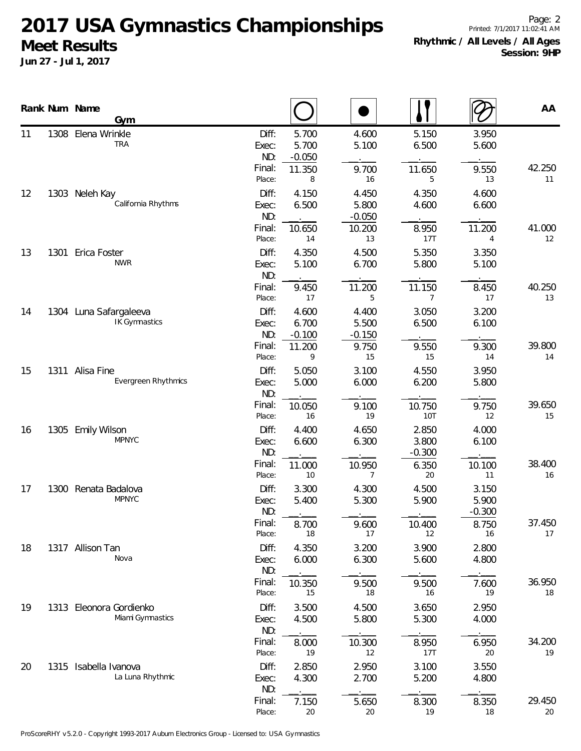|    |      | Rank Num Name<br>Gym                           |                                                     |                                |                            |                            | AA           |
|----|------|------------------------------------------------|-----------------------------------------------------|--------------------------------|----------------------------|----------------------------|--------------|
| 11 | 1308 | Elena Wrinkle<br><b>TRA</b>                    | Diff:<br>5.700<br>5.700<br>Exec:<br>ND:<br>$-0.050$ | 4.600<br>5.100                 | 5.150<br>6.500             | 3.950<br>5.600             |              |
|    |      |                                                | Final:<br>11.350<br>Place:                          | 9.700<br>8<br>16               | 11.650<br>5                | 9.550<br>13                | 42.250<br>11 |
| 12 | 1303 | Neleh Kay<br>California Rhythms                | Diff:<br>4.150<br>6.500<br>Exec:<br>ND:             | 4.450<br>5.800<br>$-0.050$     | 4.350<br>4.600             | 4.600<br>6.600             |              |
|    |      |                                                | Final:<br>10.650<br>Place:                          | 10.200<br>14<br>13             | 8.950<br>17T               | 11.200<br>$\overline{4}$   | 41.000<br>12 |
| 13 | 1301 | Erica Foster<br><b>NWR</b>                     | Diff:<br>4.350<br>5.100<br>Exec:<br>ND:             | 4.500<br>6.700                 | 5.350<br>5.800             | 3.350<br>5.100             |              |
|    |      |                                                | Final:<br>9.450<br>Place:                           | 11.200<br>17<br>5              | 11.150<br>7                | 8.450<br>17                | 40.250<br>13 |
| 14 |      | 1304 Luna Safargaleeva<br><b>IK Gymnastics</b> | Diff:<br>4.600<br>6.700<br>Exec:<br>ND:<br>$-0.100$ | 4.400<br>5.500<br>$-0.150$     | 3.050<br>6.500             | 3.200<br>6.100             |              |
|    |      |                                                | Final:<br>11.200<br>Place:                          | 9.750<br>9<br>15               | 9.550<br>15                | 9.300<br>14                | 39.800<br>14 |
| 15 | 1311 | Alisa Fine<br>Evergreen Rhythmics              | Diff:<br>5.050<br>Exec:<br>5.000<br>ND:             | 3.100<br>6.000                 | 4.550<br>6.200             | 3.950<br>5.800             |              |
|    |      |                                                | Final:<br>10.050<br>Place:                          | 9.100<br>19<br>16              | 10.750<br>10T              | 9.750<br>12                | 39.650<br>15 |
| 16 | 1305 | <b>Emily Wilson</b><br><b>MPNYC</b>            | Diff:<br>4.400<br>6.600<br>Exec:<br>ND:             | 4.650<br>6.300                 | 2.850<br>3.800<br>$-0.300$ | 4.000<br>6.100             |              |
|    |      |                                                | Final:<br>11.000<br>Place:                          | 10.950<br>10<br>$\overline{7}$ | 6.350<br>20                | 10.100<br>11               | 38.400<br>16 |
| 17 |      | 1300 Renata Badalova<br><b>MPNYC</b>           | Diff:<br>3.300<br>5.400<br>Exec:<br>ND:             | 4.300<br>5.300                 | 4.500<br>5.900             | 3.150<br>5.900<br>$-0.300$ |              |
|    |      |                                                | Final:<br>8.700<br>Place:                           | 9.600<br>18<br>17              | 10.400<br>12               | 8.750<br>16                | 37.450<br>17 |
| 18 |      | 1317 Allison Tan<br>Nova                       | Diff:<br>4.350<br>6.000<br>Exec:<br>ND:             | 3.200<br>6.300                 | 3.900<br>5.600             | 2.800<br>4.800             |              |
|    |      |                                                | Final:<br>10.350<br>Place:                          | 9.500<br>15<br>18              | 9.500<br>16                | 7.600<br>19                | 36.950<br>18 |
| 19 |      | 1313 Eleonora Gordienko<br>Miami Gymnastics    | Diff:<br>3.500<br>4.500<br>Exec:<br>ND:             | 4.500<br>5.800                 | 3.650<br>5.300             | 2.950<br>4.000             |              |
|    |      |                                                | Final:<br>8.000<br>Place:                           | 10.300<br>19<br>12             | 8.950<br>17T               | 6.950<br>20                | 34.200<br>19 |
| 20 |      | 1315 Isabella Ivanova<br>La Luna Rhythmic      | Diff:<br>2.850<br>4.300<br>Exec:<br>ND:             | 2.950<br>2.700                 | 3.100<br>5.200             | 3.550<br>4.800             |              |
|    |      |                                                | Final:<br>7.150<br>Place:                           | 5.650<br>20<br>20              | 8.300<br>19                | 8.350<br>18                | 29.450<br>20 |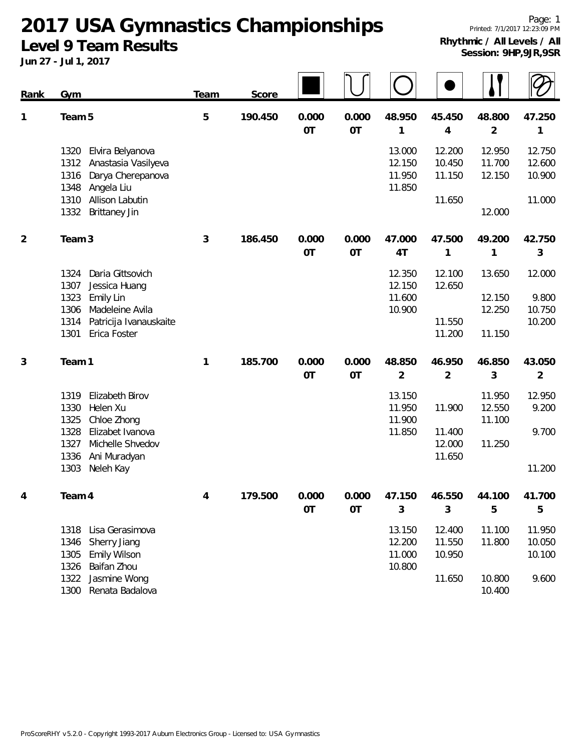**2017 USA Gymnastics Championships**

**Level 9 Team Results**

**Jun 27 - Jul 1, 2017**

|             | 301172017                                                                                                  |             |         |                    |                    |                                      |                            |                            |                            |
|-------------|------------------------------------------------------------------------------------------------------------|-------------|---------|--------------------|--------------------|--------------------------------------|----------------------------|----------------------------|----------------------------|
| <b>Rank</b> | Gym                                                                                                        | <b>Team</b> | Score   |                    |                    |                                      |                            |                            |                            |
| 1           | Team 5                                                                                                     | 5           | 190.450 | 0.000<br><b>OT</b> | 0.000<br><b>OT</b> | 48.950<br>1                          | 45.450<br>4                | 48.800<br>$\overline{2}$   | 47.250<br>1                |
|             | Elvira Belyanova<br>1320<br>Anastasia Vasilyeva<br>1312<br>Darya Cherepanova<br>1316<br>1348<br>Angela Liu |             |         |                    |                    | 13.000<br>12.150<br>11.950<br>11.850 | 12.200<br>10.450<br>11.150 | 12.950<br>11.700<br>12.150 | 12.750<br>12.600<br>10.900 |
|             | 1310<br>Allison Labutin<br><b>Brittaney Jin</b><br>1332                                                    |             |         |                    |                    |                                      | 11.650                     | 12.000                     | 11.000                     |
| 2           | Team <sub>3</sub>                                                                                          | 3           | 186.450 | 0.000<br>OT        | 0.000<br>OT        | 47.000<br>4T                         | 47.500<br>1                | 49.200<br>1                | 42.750<br>3                |
|             | Daria Gittsovich<br>1324<br>1307<br>Jessica Huang                                                          |             |         |                    |                    | 12.350<br>12.150                     | 12.100<br>12.650           | 13.650                     | 12.000                     |
|             | 1323<br>Emily Lin<br>Madeleine Avila<br>1306                                                               |             |         |                    |                    | 11.600<br>10.900                     | 11.550                     | 12.150<br>12.250           | 9.800<br>10.750            |
|             | 1314<br>Patricija Ivanauskaite<br>1301<br>Erica Foster                                                     |             |         |                    |                    |                                      | 11.200                     | 11.150                     | 10.200                     |
| 3           | Team 1                                                                                                     | 1           | 185.700 | 0.000<br><b>OT</b> | 0.000<br><b>OT</b> | 48.850<br>$\overline{2}$             | 46.950<br>$\overline{2}$   | 46.850<br>3                | 43.050<br>$\overline{2}$   |
|             | Elizabeth Birov<br>1319<br>1330<br>Helen Xu<br>Chloe Zhong<br>1325                                         |             |         |                    |                    | 13.150<br>11.950<br>11.900           | 11.900                     | 11.950<br>12.550<br>11.100 | 12.950<br>9.200            |
|             | 1328<br>Elizabet Ivanova<br>Michelle Shvedov<br>1327<br>1336<br>Ani Muradyan                               |             |         |                    |                    | 11.850                               | 11.400<br>12.000<br>11.650 | 11.250                     | 9.700                      |
|             | 1303<br>Neleh Kay                                                                                          |             |         |                    |                    |                                      |                            |                            | 11.200                     |
| 4           | Team 4                                                                                                     | 4           | 179.500 | 0.000<br>OT        | 0.000<br><b>OT</b> | 47.150<br>3                          | 46.550<br>3                | 44.100<br>5                | 41.700<br>5                |
|             | 1318<br>Lisa Gerasimova<br>Sherry Jiang<br>1346<br>Emily Wilson<br>1305<br>Baifan Zhou<br>1326             |             |         |                    |                    | 13.150<br>12.200<br>11.000<br>10.800 | 12.400<br>11.550<br>10.950 | 11.100<br>11.800           | 11.950<br>10.050<br>10.100 |
|             | 1322<br>Jasmine Wong                                                                                       |             |         |                    |                    |                                      | 11.650                     | 10.800                     | 9.600                      |

1300 Renata Badalova 10.400

ProScoreRHY v5.2.0 - Copyright 1993-2017 Auburn Electronics Group - Licensed to: USA Gymnastics